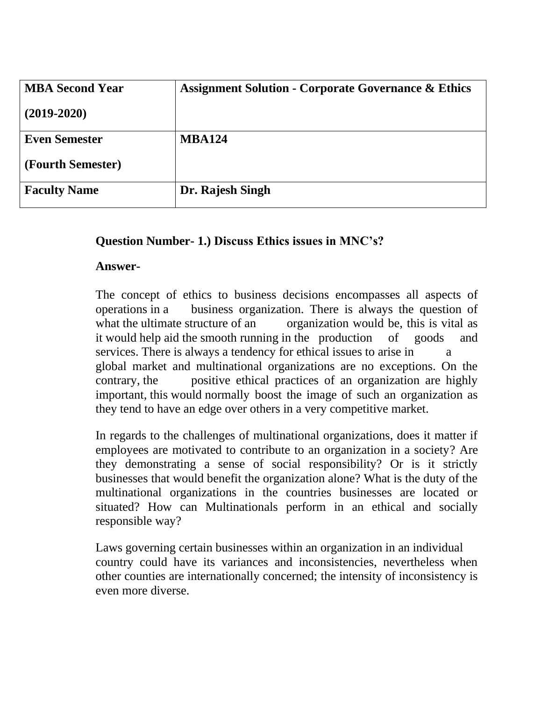| <b>MBA Second Year</b> | <b>Assignment Solution - Corporate Governance &amp; Ethics</b> |
|------------------------|----------------------------------------------------------------|
| $(2019 - 2020)$        |                                                                |
| <b>Even Semester</b>   | <b>MBA124</b>                                                  |
| (Fourth Semester)      |                                                                |
| <b>Faculty Name</b>    | Dr. Rajesh Singh                                               |

# **Question Number- 1.) Discuss Ethics issues in MNC's?**

#### **Answer-**

The concept of ethics to business decisions encompasses all aspects of operations in a business organization. There is always the question of what the ultimate structure of an organization would be, this is vital as it would help aid the smooth running in the production of goods and services. There is always a tendency for ethical issues to arise in a global market and multinational organizations are no exceptions. On the contrary, the positive ethical practices of an organization are highly important, this would normally boost the image of such an organization as they tend to have an edge over others in a very competitive market.

In regards to the challenges of multinational organizations, does it matter if employees are motivated to contribute to an organization in a society? Are they demonstrating a sense of social responsibility? Or is it strictly businesses that would benefit the organization alone? What is the duty of the multinational organizations in the countries businesses are located or situated? How can Multinationals perform in an ethical and socially responsible way?

Laws governing certain businesses within an organization in an individual country could have its variances and inconsistencies, nevertheless when other counties are internationally concerned; the intensity of inconsistency is even more diverse.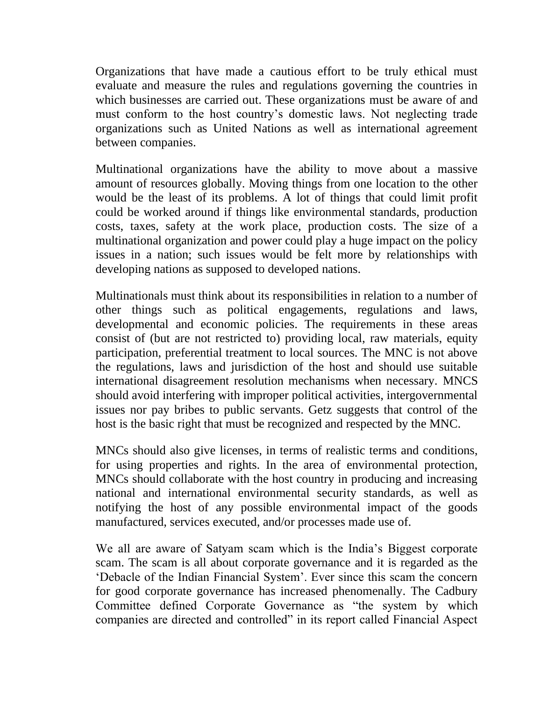Organizations that have made a cautious effort to be truly ethical must evaluate and measure the rules and regulations governing the countries in which businesses are carried out. These organizations must be aware of and must conform to the host country's domestic laws. Not neglecting trade organizations such as United Nations as well as international agreement between companies.

Multinational organizations have the ability to move about a massive amount of resources globally. Moving things from one location to the other would be the least of its problems. A lot of things that could limit profit could be worked around if things like environmental standards, production costs, taxes, safety at the work place, production costs. The size of a multinational organization and power could play a huge impact on the policy issues in a nation; such issues would be felt more by relationships with developing nations as supposed to developed nations.

Multinationals must think about its responsibilities in relation to a number of other things such as political engagements, regulations and laws, developmental and economic policies. The requirements in these areas consist of (but are not restricted to) providing local, raw materials, equity participation, preferential treatment to local sources. The MNC is not above the regulations, laws and jurisdiction of the host and should use suitable international disagreement resolution mechanisms when necessary. MNCS should avoid interfering with improper political activities, intergovernmental issues nor pay bribes to public servants. Getz suggests that control of the host is the basic right that must be recognized and respected by the MNC.

MNCs should also give licenses, in terms of realistic terms and conditions, for using properties and rights. In the area of environmental protection, MNCs should collaborate with the host country in producing and increasing national and international environmental security standards, as well as notifying the host of any possible environmental impact of the goods manufactured, services executed, and/or processes made use of.

We all are aware of Satyam scam which is the India's Biggest corporate scam. The scam is all about corporate governance and it is regarded as the 'Debacle of the Indian Financial System'. Ever since this scam the concern for good corporate governance has increased phenomenally. The Cadbury Committee defined Corporate Governance as "the system by which companies are directed and controlled" in its report called Financial Aspect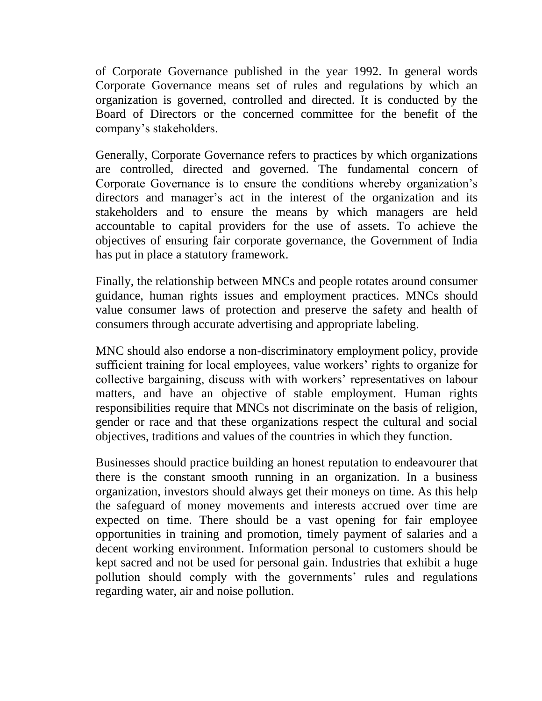of Corporate Governance published in the year 1992. In general words Corporate Governance means set of rules and regulations by which an organization is governed, controlled and directed. It is conducted by the Board of Directors or the concerned committee for the benefit of the company's stakeholders.

Generally, Corporate Governance refers to practices by which organizations are controlled, directed and governed. The fundamental concern of Corporate Governance is to ensure the conditions whereby organization's directors and manager's act in the interest of the organization and its stakeholders and to ensure the means by which managers are held accountable to capital providers for the use of assets. To achieve the objectives of ensuring fair corporate governance, the Government of India has put in place a statutory framework.

Finally, the relationship between MNCs and people rotates around consumer guidance, human rights issues and employment practices. MNCs should value consumer laws of protection and preserve the safety and health of consumers through accurate advertising and appropriate labeling.

MNC should also endorse a non-discriminatory employment policy, provide sufficient training for local employees, value workers' rights to organize for collective bargaining, discuss with with workers' representatives on labour matters, and have an objective of stable employment. Human rights responsibilities require that MNCs not discriminate on the basis of religion, gender or race and that these organizations respect the cultural and social objectives, traditions and values of the countries in which they function.

Businesses should practice building an honest reputation to endeavourer that there is the constant smooth running in an organization. In a business organization, investors should always get their moneys on time. As this help the safeguard of money movements and interests accrued over time are expected on time. There should be a vast opening for fair employee opportunities in training and promotion, timely payment of salaries and a decent working environment. Information personal to customers should be kept sacred and not be used for personal gain. Industries that exhibit a huge pollution should comply with the governments' rules and regulations regarding water, air and noise pollution.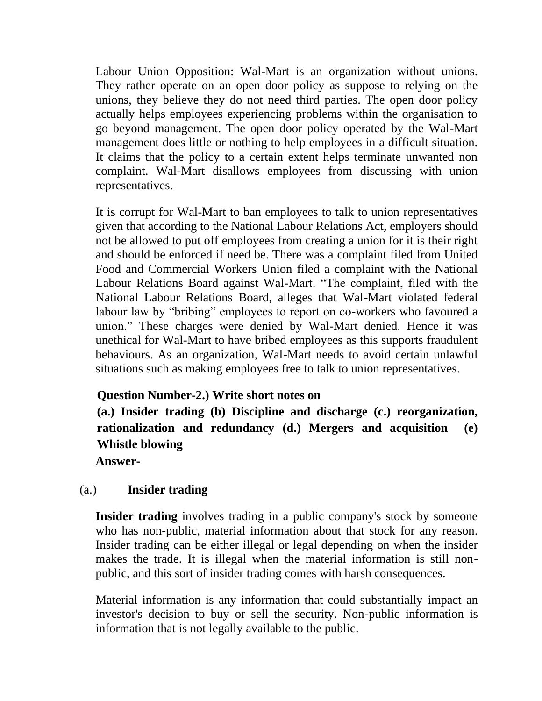Labour Union Opposition: Wal-Mart is an organization without unions. They rather operate on an open door policy as suppose to relying on the unions, they believe they do not need third parties. The open door policy actually helps employees experiencing problems within the organisation to go beyond management. The open door policy operated by the Wal-Mart management does little or nothing to help employees in a difficult situation. It claims that the policy to a certain extent helps terminate unwanted non complaint. Wal-Mart disallows employees from discussing with union representatives.

It is corrupt for Wal-Mart to ban employees to talk to union representatives given that according to the National Labour Relations Act, employers should not be allowed to put off employees from creating a union for it is their right and should be enforced if need be. There was a complaint filed from United Food and Commercial Workers Union filed a complaint with the National Labour Relations Board against Wal-Mart. "The complaint, filed with the National Labour Relations Board, alleges that Wal-Mart violated federal labour law by "bribing" employees to report on co-workers who favoured a union." These charges were denied by Wal-Mart denied. Hence it was unethical for Wal-Mart to have bribed employees as this supports fraudulent behaviours. As an organization, Wal-Mart needs to avoid certain unlawful situations such as making employees free to talk to union representatives.

# **Question Number-2.) Write short notes on**

**(a.) Insider trading (b) Discipline and discharge (c.) reorganization, rationalization and redundancy (d.) Mergers and acquisition (e) Whistle blowing**

**Answer-**

### (a.) **Insider trading**

**Insider trading** involves trading in a public company's stock by someone who has non-public, material information about that stock for any reason. Insider trading can be either illegal or legal depending on when the insider makes the trade. It is illegal when the material information is still nonpublic, and this sort of insider trading comes with harsh consequences.

Material information is any information that could substantially impact an investor's decision to buy or sell the security. Non-public information is information that is not legally available to the public.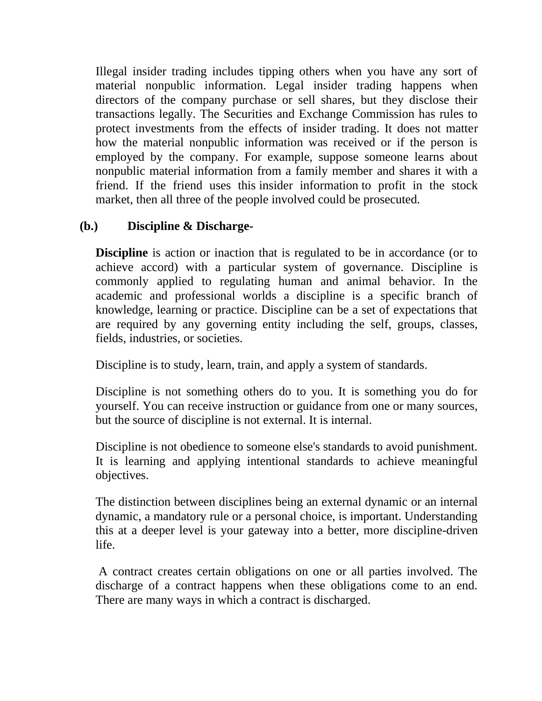Illegal insider trading includes tipping others when you have any sort of material nonpublic information. Legal insider trading happens when directors of the company purchase or sell shares, but they disclose their transactions legally. The Securities and Exchange Commission has rules to protect investments from the effects of insider trading. It does not matter how the material nonpublic information was received or if the person is employed by the company. For example, suppose someone learns about nonpublic material information from a family member and shares it with a friend. If the friend uses this insider information to profit in the stock market, then all three of the people involved could be prosecuted.

# **(b.) Discipline & Discharge-**

**Discipline** is action or inaction that is regulated to be in accordance (or to achieve accord) with a particular system of governance. Discipline is commonly applied to regulating human and animal behavior. In the academic and professional worlds a discipline is a specific branch of knowledge, learning or practice. Discipline can be a set of expectations that are required by any governing entity including the self, groups, classes, fields, industries, or societies.

Discipline is to study, learn, train, and apply a system of standards.

Discipline is not something others do to you. It is something you do for yourself. You can receive instruction or guidance from one or many sources, but the source of discipline is not external. It is internal.

Discipline is not obedience to someone else's standards to avoid punishment. It is learning and applying intentional standards to achieve meaningful objectives.

The distinction between disciplines being an external dynamic or an internal dynamic, a mandatory rule or a personal choice, is important. Understanding this at a deeper level is your gateway into a better, more discipline-driven life.

A contract creates certain obligations on one or all parties involved. The discharge of a contract happens when these obligations come to an end. There are many ways in which a contract is discharged.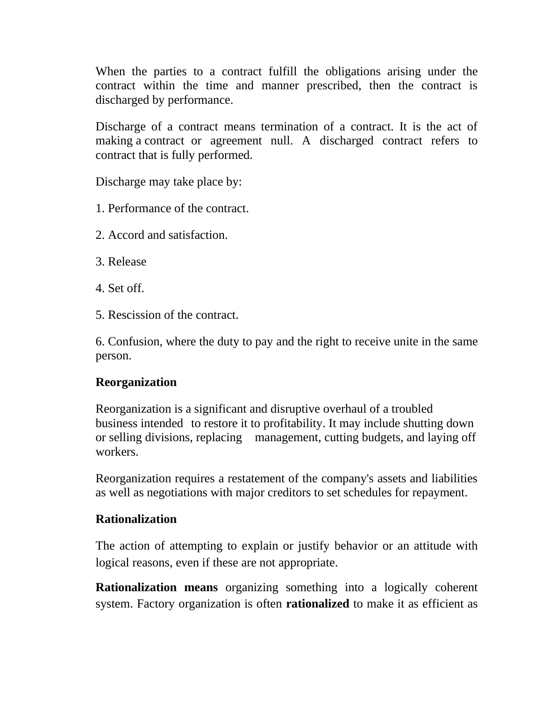When the parties to a contract fulfill the obligations arising under the contract within the time and manner prescribed, then the contract is discharged by performance.

Discharge of a contract means termination of a contract. It is the act of making a contract or agreement null. A discharged contract refers to contract that is fully performed.

Discharge may take place by:

- 1. Performance of the contract.
- 2. Accord and satisfaction.
- 3. Release
- 4. Set off.
- 5. Rescission of the contract.

6. Confusion, where the duty to pay and the right to receive unite in the same person.

#### **Reorganization**

Reorganization is a significant and disruptive overhaul of a troubled business intended to restore it to profitability. It may include shutting down or selling divisions, replacing management, cutting budgets, and laying off workers.

Reorganization requires a restatement of the company's assets and liabilities as well as negotiations with major creditors to set schedules for repayment.

### **Rationalization**

The action of attempting to explain or justify behavior or an attitude with logical reasons, even if these are not appropriate.

**Rationalization means** organizing something into a logically coherent system. Factory organization is often **rationalized** to make it as efficient as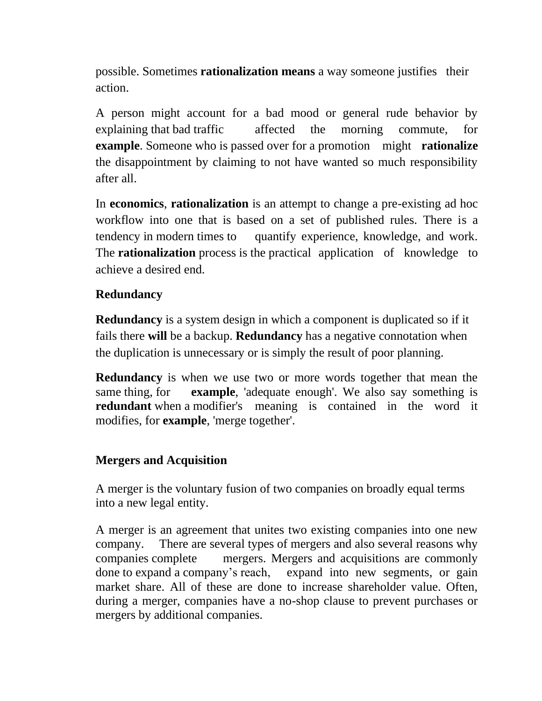possible. Sometimes **rationalization means** a way someone justifies their action.

A person might account for a bad mood or general rude behavior by explaining that bad traffic affected the morning commute, for **example**. Someone who is passed over for a promotion might **rationalize** the disappointment by claiming to not have wanted so much responsibility after all.

In **economics**, **rationalization** is an attempt to change a pre-existing ad hoc workflow into one that is based on a set of published rules. There is a tendency in modern times to quantify experience, knowledge, and work. The **rationalization** process is the practical application of knowledge to achieve a desired end.

### **Redundancy**

**Redundancy** is a system design in which a component is duplicated so if it fails there **will** be a backup. **Redundancy** has a negative connotation when the duplication is unnecessary or is simply the result of poor planning.

**Redundancy** is when we use two or more words together that mean the same thing, for **example**, 'adequate enough'. We also say something is **redundant** when a modifier's meaning is contained in the word it modifies, for **example**, 'merge together'.

### **Mergers and Acquisition**

A merger is the voluntary fusion of two companies on broadly equal terms into a new legal entity.

A merger is an agreement that unites two existing companies into one new company. There are several types of mergers and also several reasons why companies complete mergers. Mergers and acquisitions are commonly done to expand a company's reach, expand into new segments, or gain market share. All of these are done to increase shareholder value. Often, during a merger, companies have a no-shop clause to prevent purchases or mergers by additional companies.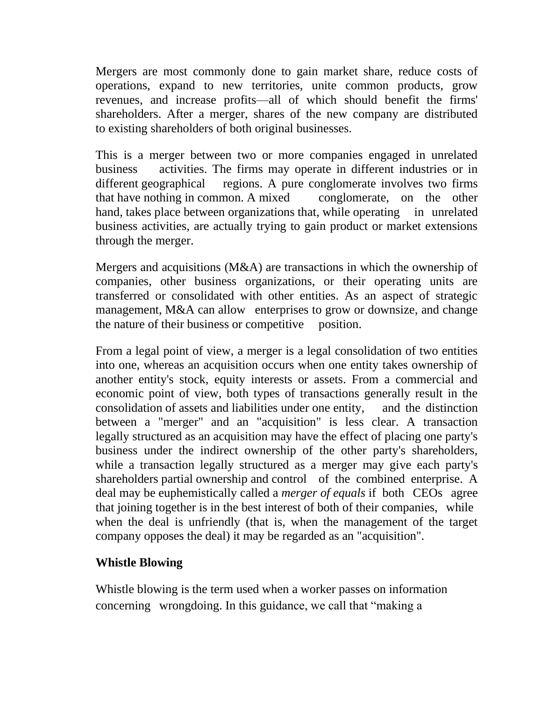Mergers are most commonly done to gain market share, reduce costs of operations, expand to new territories, unite common products, grow revenues, and increase profits—all of which should benefit the firms' shareholders. After a merger, shares of the new company are distributed to existing shareholders of both original businesses.

This is a merger between two or more companies engaged in unrelated business activities. The firms may operate in different industries or in different geographical regions. A pure conglomerate involves two firms that have nothing in common. A mixed conglomerate, on the other hand, takes place between organizations that, while operating in unrelated business activities, are actually trying to gain product or market extensions through the merger.

Mergers and acquisitions (M&A) are transactions in which the ownership of companies, other business organizations, or their operating units are transferred or consolidated with other entities. As an aspect of strategic management, M&A can allow enterprises to grow or downsize, and change the nature of their business or competitive position.

From a legal point of view, a merger is a legal consolidation of two entities into one, whereas an acquisition occurs when one entity takes ownership of another entity's stock, equity interests or assets. From a commercial and economic point of view, both types of transactions generally result in the consolidation of assets and liabilities under one entity, and the distinction between a "merger" and an "acquisition" is less clear. A transaction legally structured as an acquisition may have the effect of placing one party's business under the indirect ownership of the other party's shareholders, while a transaction legally structured as a merger may give each party's shareholders partial ownership and control of the combined enterprise. A deal may be euphemistically called a *merger of equals* if both CEOs agree that joining together is in the best interest of both of their companies, while when the deal is unfriendly (that is, when the management of the target company opposes the deal) it may be regarded as an "acquisition".

### **Whistle Blowing**

Whistle blowing is the term used when a worker passes on information concerning wrongdoing. In this guidance, we call that "making a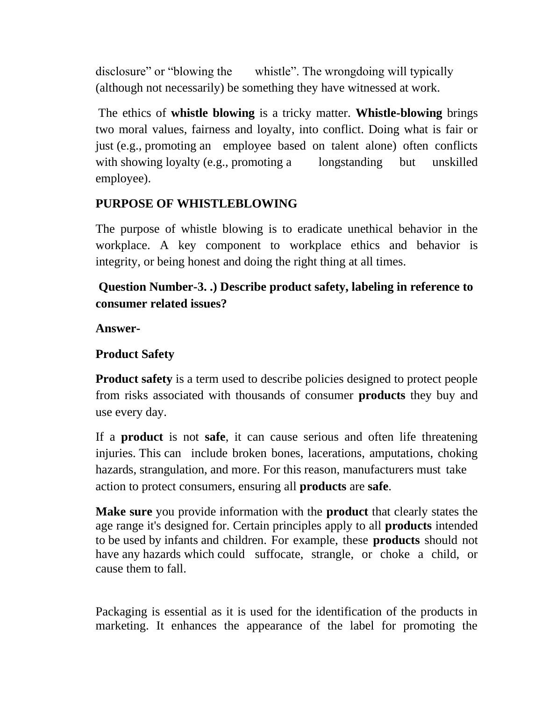disclosure" or "blowing the whistle". The wrongdoing will typically (although not necessarily) be something they have witnessed at work.

The ethics of **whistle blowing** is a tricky matter. **Whistle-blowing** brings two moral values, fairness and loyalty, into conflict. Doing what is fair or just (e.g., promoting an employee based on talent alone) often conflicts with showing loyalty (e.g., promoting a longstanding but unskilled employee).

# **PURPOSE OF WHISTLEBLOWING**

The purpose of whistle blowing is to eradicate unethical behavior in the workplace. A key component to workplace ethics and behavior is integrity, or being honest and doing the right thing at all times.

# **Question Number-3. .) Describe product safety, labeling in reference to consumer related issues?**

**Answer-**

# **Product Safety**

**Product safety** is a term used to describe policies designed to protect people from risks associated with thousands of consumer **products** they buy and use every day.

If a **product** is not **safe**, it can cause serious and often life threatening injuries. This can include broken bones, lacerations, amputations, choking hazards, strangulation, and more. For this reason, manufacturers must take action to protect consumers, ensuring all **products** are **safe**.

**Make sure** you provide information with the **product** that clearly states the age range it's designed for. Certain principles apply to all **products** intended to be used by infants and children. For example, these **products** should not have any hazards which could suffocate, strangle, or choke a child, or cause them to fall.

Packaging is essential as it is used for the identification of the products in marketing. It enhances the appearance of the label for promoting the